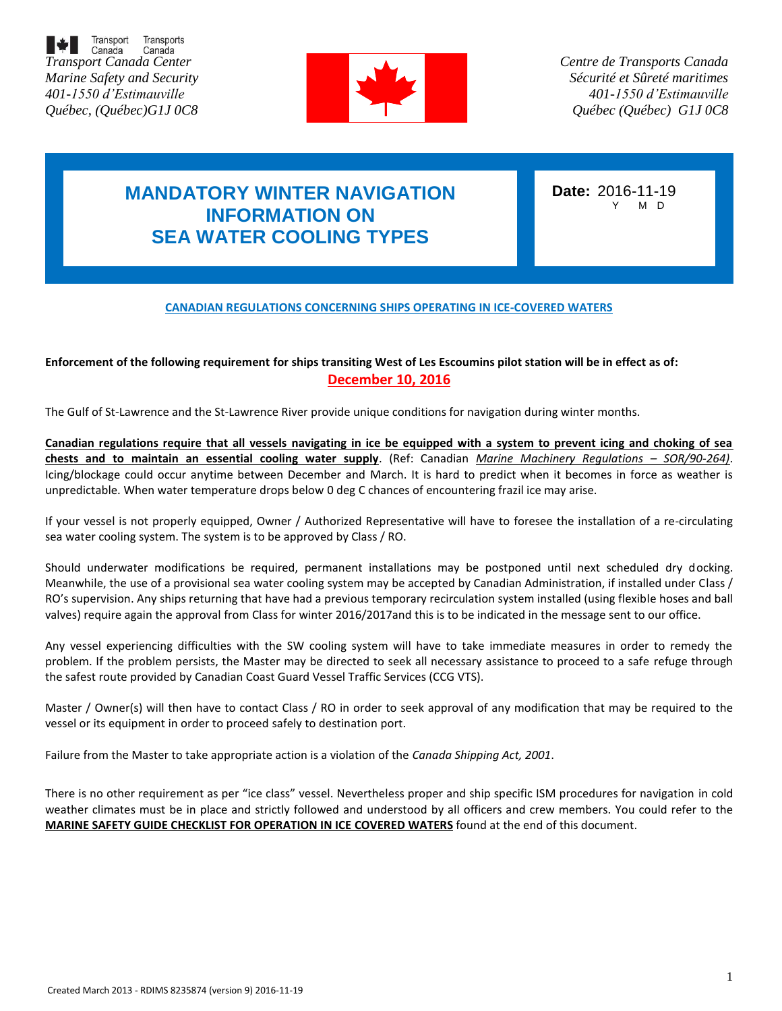



*Centre de Transports Canada Sécurité et Sûreté maritimes 401-1550 d'Estimauville Québec (Québec) G1J 0C8*

# **MANDATORY WINTER NAVIGATION INFORMATION ON SEA WATER COOLING TYPES**

**Date:** 2016-11-19 M D

#### **CANADIAN REGULATIONS CONCERNING SHIPS OPERATING IN ICE-COVERED WATERS**

### **Enforcement of the following requirement for ships transiting West of Les Escoumins pilot station will be in effect as of: December 10, 2016**

The Gulf of St-Lawrence and the St-Lawrence River provide unique conditions for navigation during winter months.

**Canadian regulations require that all vessels navigating in ice be equipped with a system to prevent icing and choking of sea chests and to maintain an essential cooling water supply**. (Ref: Canadian *Marine Machinery Regulations – SOR/90-264)*. Icing/blockage could occur anytime between December and March. It is hard to predict when it becomes in force as weather is unpredictable. When water temperature drops below 0 deg C chances of encountering frazil ice may arise.

If your vessel is not properly equipped, Owner / Authorized Representative will have to foresee the installation of a re-circulating sea water cooling system. The system is to be approved by Class / RO.

Should underwater modifications be required, permanent installations may be postponed until next scheduled dry docking. Meanwhile, the use of a provisional sea water cooling system may be accepted by Canadian Administration, if installed under Class / RO's supervision. Any ships returning that have had a previous temporary recirculation system installed (using flexible hoses and ball valves) require again the approval from Class for winter 2016/2017and this is to be indicated in the message sent to our office.

Any vessel experiencing difficulties with the SW cooling system will have to take immediate measures in order to remedy the problem. If the problem persists, the Master may be directed to seek all necessary assistance to proceed to a safe refuge through the safest route provided by Canadian Coast Guard Vessel Traffic Services (CCG VTS).

Master / Owner(s) will then have to contact Class / RO in order to seek approval of any modification that may be required to the vessel or its equipment in order to proceed safely to destination port.

Failure from the Master to take appropriate action is a violation of the *Canada Shipping Act, 2001*.

There is no other requirement as per "ice class" vessel. Nevertheless proper and ship specific ISM procedures for navigation in cold weather climates must be in place and strictly followed and understood by all officers and crew members. You could refer to the **MARINE SAFETY GUIDE CHECKLIST FOR OPERATION IN ICE COVERED WATERS** found at the end of this document.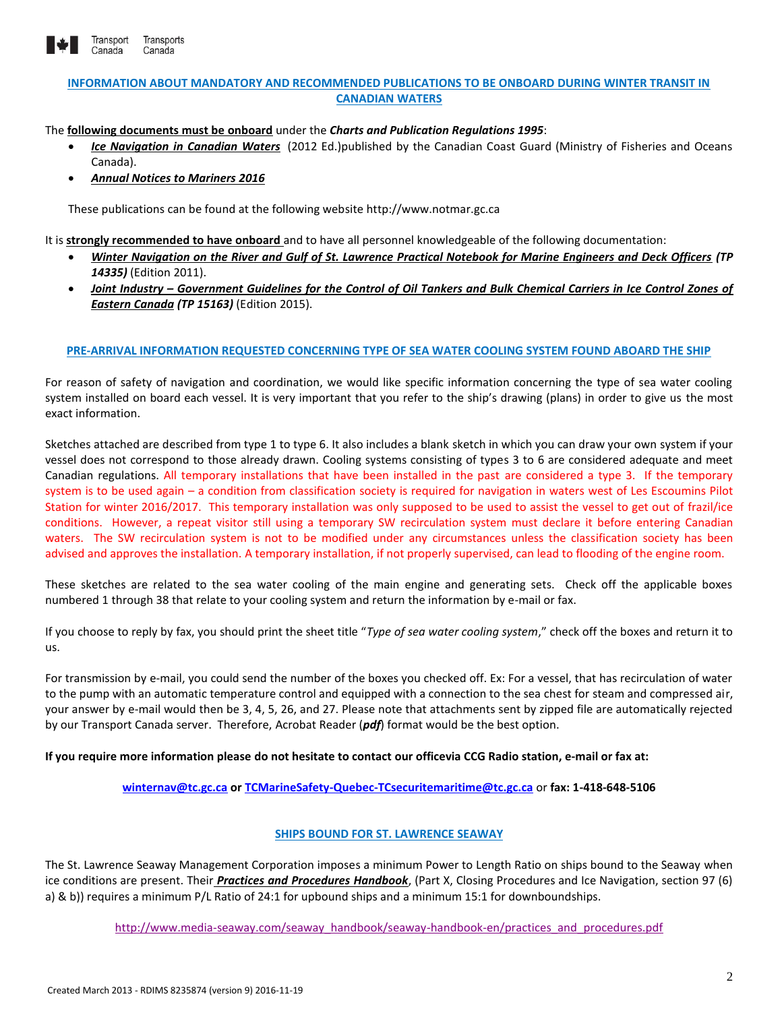

#### **INFORMATION ABOUT MANDATORY AND RECOMMENDED PUBLICATIONS TO BE ONBOARD DURING WINTER TRANSIT IN CANADIAN WATERS**

The **following documents must be onboard** under the *Charts and Publication Regulations 1995*:

- *[Ice Navigation in Canadian Waters](http://www.ccg-gcc.gc.ca/Ice_home/Ice_Publications/Ice-Navigation-in-Canadian-Waters)* (2012 Ed.)published by the Canadian Coast Guard (Ministry of Fisheries and Oceans Canada).
- *Annual Notices to Mariners 2016*

These publications can be found at the following website http://www.notmar.gc.ca

It is **strongly recommended to have onboard** and to have all personnel knowledgeable of the following documentation:

- *Winter Navigation on the River and Gulf of St. Lawrence Practical Notebook for Marine Engineers and Deck Officers (TP 14335)* (Edition 2011).
- *Joint Industry – Government Guidelines for the Control of Oil Tankers and Bulk Chemical Carriers in Ice Control Zones of Eastern Canada (TP 15163)* (Edition 2015).

#### **PRE-ARRIVAL INFORMATION REQUESTED CONCERNING TYPE OF SEA WATER COOLING SYSTEM FOUND ABOARD THE SHIP**

For reason of safety of navigation and coordination, we would like specific information concerning the type of sea water cooling system installed on board each vessel. It is very important that you refer to the ship's drawing (plans) in order to give us the most exact information.

Sketches attached are described from type 1 to type 6. It also includes a blank sketch in which you can draw your own system if your vessel does not correspond to those already drawn. Cooling systems consisting of types 3 to 6 are considered adequate and meet Canadian regulations. All temporary installations that have been installed in the past are considered a type 3. If the temporary system is to be used again – a condition from classification society is required for navigation in waters west of Les Escoumins Pilot Station for winter 2016/2017. This temporary installation was only supposed to be used to assist the vessel to get out of frazil/ice conditions. However, a repeat visitor still using a temporary SW recirculation system must declare it before entering Canadian waters. The SW recirculation system is not to be modified under any circumstances unless the classification society has been advised and approves the installation. A temporary installation, if not properly supervised, can lead to flooding of the engine room.

These sketches are related to the sea water cooling of the main engine and generating sets. Check off the applicable boxes numbered 1 through 38 that relate to your cooling system and return the information by e-mail or fax.

If you choose to reply by fax, you should print the sheet title "*Type of sea water cooling system*," check off the boxes and return it to us.

For transmission by e-mail, you could send the number of the boxes you checked off. Ex: For a vessel, that has recirculation of water to the pump with an automatic temperature control and equipped with a connection to the sea chest for steam and compressed air, your answer by e-mail would then be 3, 4, 5, 26, and 27. Please note that attachments sent by zipped file are automatically rejected by our Transport Canada server. Therefore, Acrobat Reader (*pdf*) format would be the best option.

**If you require more information please do not hesitate to contact our officevia CCG Radio station, e-mail or fax at:**

**[winternav@tc.gc.ca](mailto:winternav@tc.gc.ca) or [TCMarineSafety-Quebec-TCsecuritemaritime@tc.gc.ca](mailto:TCMarineSafety-Quebec-TCsecuritemaritime@tc.gc.ca)** or **fax: 1-418-648-5106**

#### **SHIPS BOUND FOR ST. LAWRENCE SEAWAY**

The St. Lawrence Seaway Management Corporation imposes a minimum Power to Length Ratio on ships bound to the Seaway when ice conditions are present. Their *Practices and Procedures Handbook*, (Part X, Closing Procedures and Ice Navigation, section 97 (6) a) & b)) requires a minimum P/L Ratio of 24:1 for upbound ships and a minimum 15:1 for downboundships.

[http://www.media-seaway.com/seaway\\_handbook/seaway-handbook-en/practices\\_and\\_procedures.pdf](http://www.media-seaway.com/seaway_handbook/seaway-handbook-en/practices_and_procedures.pdf)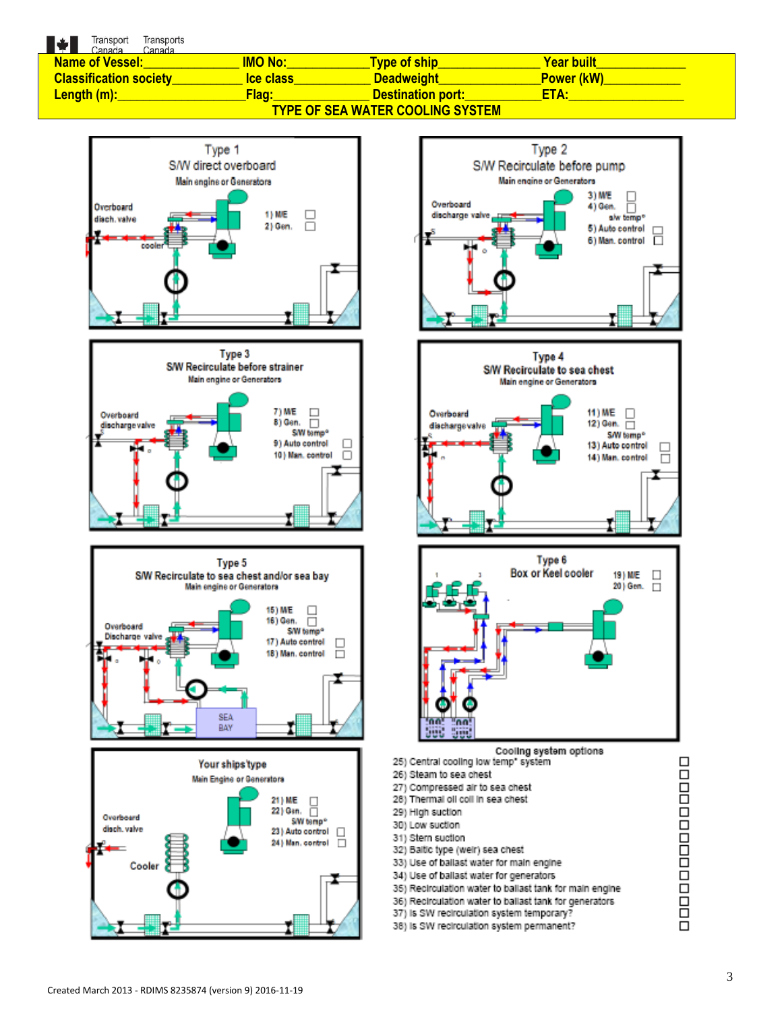Transport Transports

| $\blacksquare$ $\blacksquare$ $\blacksquare$ $\blacksquare$ $\blacksquare$ $\blacksquare$ $\blacksquare$ $\blacksquare$ $\blacksquare$ $\blacksquare$ $\blacksquare$ $\blacksquare$ $\blacksquare$ $\blacksquare$ $\blacksquare$ $\blacksquare$ $\blacksquare$ $\blacksquare$ $\blacksquare$ $\blacksquare$ $\blacksquare$ $\blacksquare$ $\blacksquare$ $\blacksquare$ $\blacksquare$ $\blacksquare$ $\blacksquare$ $\blacksquare$ $\blacksquare$ $\blacksquare$ $\blacksquare$ $\blacks$<br>Canada |                 |                          |                   |  |  |
|------------------------------------------------------------------------------------------------------------------------------------------------------------------------------------------------------------------------------------------------------------------------------------------------------------------------------------------------------------------------------------------------------------------------------------------------------------------------------------------------------|-----------------|--------------------------|-------------------|--|--|
| <b>Name of Vessel:</b>                                                                                                                                                                                                                                                                                                                                                                                                                                                                               | <b>IMO No:</b>  | <b>Type of ship</b>      | <b>Year built</b> |  |  |
| <b>Classification society</b>                                                                                                                                                                                                                                                                                                                                                                                                                                                                        | <b>Ce class</b> | <b>Deadweight</b>        | <b>Power (kW)</b> |  |  |
| <u>Length (m):</u>                                                                                                                                                                                                                                                                                                                                                                                                                                                                                   | <u>Flag:</u>    | <b>Destination port:</b> | ETA:              |  |  |
| <b>TYPE OF SEA WATER COOLING SYSTEM</b>                                                                                                                                                                                                                                                                                                                                                                                                                                                              |                 |                          |                   |  |  |











- 36) Recirculation water to ballast tank for generators
- 37) Is SW recirculation system temporary?
- 38) Is SW recirculation system permanent?